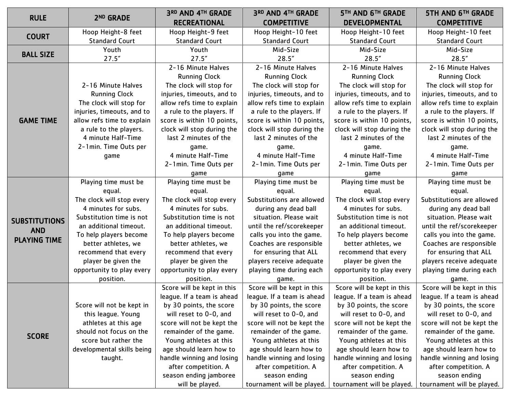| <b>RULE</b>                        | 2 <sup>ND</sup> GRADE      | <b>3RD AND 4TH GRADE</b>   | <b>3RD AND 4TH GRADE</b>   | 5TH AND 6TH GRADE          | <b>5TH AND 6TH GRADE</b>   |
|------------------------------------|----------------------------|----------------------------|----------------------------|----------------------------|----------------------------|
|                                    |                            | <b>RECREATIONAL</b>        | <b>COMPETITIVE</b>         | <b>DEVELOPMENTAL</b>       | <b>COMPETITIVE</b>         |
| <b>COURT</b>                       | Hoop Height-8 feet         | Hoop Height-9 feet         | Hoop Height-10 feet        | Hoop Height-10 feet        | Hoop Height-10 feet        |
|                                    | <b>Standard Court</b>      | <b>Standard Court</b>      | <b>Standard Court</b>      | <b>Standard Court</b>      | <b>Standard Court</b>      |
|                                    | Youth                      | Youth                      | Mid-Size                   | Mid-Size                   | Mid-Size                   |
| <b>BALL SIZE</b>                   | 27.5''                     | 27.5''                     | 28.5''                     | 28.5''                     | 28.5''                     |
|                                    |                            | 2-16 Minute Halves         | 2-16 Minute Halves         | 2-16 Minute Halves         | 2-16 Minute Halves         |
|                                    |                            | <b>Running Clock</b>       | <b>Running Clock</b>       | <b>Running Clock</b>       | <b>Running Clock</b>       |
|                                    | 2-16 Minute Halves         | The clock will stop for    | The clock will stop for    | The clock will stop for    | The clock will stop for    |
|                                    | <b>Running Clock</b>       | injuries, timeouts, and to | injuries, timeouts, and to | injuries, timeouts, and to | injuries, timeouts, and to |
|                                    | The clock will stop for    | allow refs time to explain | allow refs time to explain | allow refs time to explain | allow refs time to explain |
|                                    | injuries, timeouts, and to | a rule to the players. If  | a rule to the players. If  | a rule to the players. If  | a rule to the players. If  |
| <b>GAME TIME</b>                   | allow refs time to explain | score is within 10 points, | score is within 10 points, | score is within 10 points, | score is within 10 points, |
|                                    | a rule to the players.     | clock will stop during the | clock will stop during the | clock will stop during the | clock will stop during the |
|                                    | 4 minute Half-Time         | last 2 minutes of the      | last 2 minutes of the      | last 2 minutes of the      | last 2 minutes of the      |
|                                    | 2-1min. Time Outs per      | game.                      | game.                      | game.                      | game.                      |
|                                    | game                       | 4 minute Half-Time         | 4 minute Half-Time         | 4 minute Half-Time         | 4 minute Half-Time         |
|                                    |                            | 2-1min. Time Outs per      | 2-1min. Time Outs per      | 2-1min. Time Outs per      | 2-1min. Time Outs per      |
|                                    |                            | game                       | qame                       | game                       | game                       |
| <b>SUBSTITUTIONS</b><br><b>AND</b> | Playing time must be       | Playing time must be       | Playing time must be       | Playing time must be       | Playing time must be       |
|                                    | equal.                     | equal.                     | equal.                     | equal.                     | equal.                     |
|                                    | The clock will stop every  | The clock will stop every  | Substitutions are allowed  | The clock will stop every  | Substitutions are allowed  |
|                                    | 4 minutes for subs.        | 4 minutes for subs.        | during any dead ball       | 4 minutes for subs.        | during any dead ball       |
|                                    | Substitution time is not   | Substitution time is not   | situation. Please wait     | Substitution time is not   | situation. Please wait     |
|                                    | an additional timeout.     | an additional timeout.     | until the ref/scorekeeper  | an additional timeout.     | until the ref/scorekeeper  |
| <b>PLAYING TIME</b>                | To help players become     | To help players become     | calls you into the game.   | To help players become     | calls you into the game.   |
|                                    | better athletes, we        | better athletes, we        | Coaches are responsible    | better athletes, we        | Coaches are responsible    |
|                                    | recommend that every       | recommend that every       | for ensuring that ALL      | recommend that every       | for ensuring that ALL      |
|                                    | player be given the        | player be given the        | players receive adequate   | player be given the        | players receive adequate   |
|                                    | opportunity to play every  | opportunity to play every  | playing time during each   | opportunity to play every  | playing time during each   |
|                                    | position.                  | position.                  | game.                      | position.                  | game.                      |
|                                    |                            | Score will be kept in this | Score will be kept in this | Score will be kept in this | Score will be kept in this |
|                                    |                            | leaque. If a team is ahead | leaque. If a team is ahead | leaque. If a team is ahead | leaque. If a team is ahead |
| <b>SCORE</b>                       | Score will not be kept in  | by 30 points, the score    | by 30 points, the score    | by 30 points, the score    | by 30 points, the score    |
|                                    | this league. Young         | will reset to 0-0, and     | will reset to 0-0, and     | will reset to 0-0, and     | will reset to 0-0, and     |
|                                    | athletes at this age       | score will not be kept the | score will not be kept the | score will not be kept the | score will not be kept the |
|                                    | should not focus on the    | remainder of the game.     | remainder of the game.     | remainder of the game.     | remainder of the game.     |
|                                    | score but rather the       | Young athletes at this     | Young athletes at this     | Young athletes at this     | Young athletes at this     |
|                                    | developmental skills being | age should learn how to    | age should learn how to    | age should learn how to    | age should learn how to    |
|                                    | taught.                    | handle winning and losing  | handle winning and losing  | handle winning and losing  | handle winning and losing  |
|                                    |                            | after competition. A       | after competition. A       | after competition. A       | after competition. A       |
|                                    |                            | season ending jamboree     | season ending              | season ending              | season ending              |
|                                    |                            | will be played.            | tournament will be played. | tournament will be played. | tournament will be played. |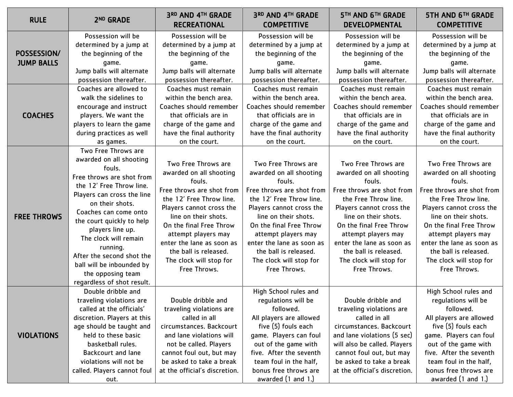| <b>RULE</b>                      | 2 <sup>ND</sup> GRADE                                                                                                                                                                                                                                                                                                                                                                          | <b>3RD AND 4TH GRADE</b><br><b>RECREATIONAL</b>                                                                                                                                                                                                                                                                          | <b>3RD AND 4TH GRADE</b><br><b>COMPETITIVE</b>                                                                                                                                                                                                                                                                           | 5TH AND 6TH GRADE<br><b>DEVELOPMENTAL</b>                                                                                                                                                                                                                                                                            | <b>5TH AND 6TH GRADE</b><br><b>COMPETITIVE</b>                                                                                                                                                                                                                                                                       |
|----------------------------------|------------------------------------------------------------------------------------------------------------------------------------------------------------------------------------------------------------------------------------------------------------------------------------------------------------------------------------------------------------------------------------------------|--------------------------------------------------------------------------------------------------------------------------------------------------------------------------------------------------------------------------------------------------------------------------------------------------------------------------|--------------------------------------------------------------------------------------------------------------------------------------------------------------------------------------------------------------------------------------------------------------------------------------------------------------------------|----------------------------------------------------------------------------------------------------------------------------------------------------------------------------------------------------------------------------------------------------------------------------------------------------------------------|----------------------------------------------------------------------------------------------------------------------------------------------------------------------------------------------------------------------------------------------------------------------------------------------------------------------|
| POSSESSION/<br><b>JUMP BALLS</b> | Possession will be<br>determined by a jump at<br>the beginning of the<br>game.<br>Jump balls will alternate<br>possession thereafter.                                                                                                                                                                                                                                                          | Possession will be<br>determined by a jump at<br>the beginning of the<br>game.<br>Jump balls will alternate<br>possession thereafter.                                                                                                                                                                                    | Possession will be<br>determined by a jump at<br>the beginning of the<br>game.<br>Jump balls will alternate<br>possession thereafter.                                                                                                                                                                                    | Possession will be<br>determined by a jump at<br>the beginning of the<br>game.<br>Jump balls will alternate<br>possession thereafter.                                                                                                                                                                                | Possession will be<br>determined by a jump at<br>the beginning of the<br>game.<br>Jump balls will alternate<br>possession thereafter.                                                                                                                                                                                |
| <b>COACHES</b>                   | Coaches are allowed to<br>walk the sidelines to<br>encourage and instruct<br>players. We want the<br>players to learn the game<br>during practices as well<br>as games.                                                                                                                                                                                                                        | Coaches must remain<br>within the bench area.<br>Coaches should remember<br>that officials are in<br>charge of the game and<br>have the final authority<br>on the court.                                                                                                                                                 | Coaches must remain<br>within the bench area.<br>Coaches should remember<br>that officials are in<br>charge of the game and<br>have the final authority<br>on the court.                                                                                                                                                 | Coaches must remain<br>within the bench area.<br>Coaches should remember<br>that officials are in<br>charge of the game and<br>have the final authority<br>on the court.                                                                                                                                             | Coaches must remain<br>within the bench area.<br>Coaches should remember<br>that officials are in<br>charge of the game and<br>have the final authority<br>on the court.                                                                                                                                             |
| <b>FREE THROWS</b>               | Two Free Throws are<br>awarded on all shooting<br>fouls.<br>Free throws are shot from<br>the 12' Free Throw line.<br>Players can cross the line<br>on their shots.<br>Coaches can come onto<br>the court quickly to help<br>players line up.<br>The clock will remain<br>running.<br>After the second shot the<br>ball will be inbounded by<br>the opposing team<br>regardless of shot result. | Two Free Throws are<br>awarded on all shooting<br>fouls.<br>Free throws are shot from<br>the 12' Free Throw line.<br>Players cannot cross the<br>line on their shots.<br>On the final Free Throw<br>attempt players may<br>enter the lane as soon as<br>the ball is released.<br>The clock will stop for<br>Free Throws. | Two Free Throws are<br>awarded on all shooting<br>fouls.<br>Free throws are shot from<br>the 12' Free Throw line.<br>Players cannot cross the<br>line on their shots.<br>On the final Free Throw<br>attempt players may<br>enter the lane as soon as<br>the ball is released.<br>The clock will stop for<br>Free Throws. | Two Free Throws are<br>awarded on all shooting<br>fouls.<br>Free throws are shot from<br>the Free Throw line.<br>Players cannot cross the<br>line on their shots.<br>On the final Free Throw<br>attempt players may<br>enter the lane as soon as<br>the ball is released.<br>The clock will stop for<br>Free Throws. | Two Free Throws are<br>awarded on all shooting<br>fouls.<br>Free throws are shot from<br>the Free Throw line.<br>Players cannot cross the<br>line on their shots.<br>On the final Free Throw<br>attempt players may<br>enter the lane as soon as<br>the ball is released.<br>The clock will stop for<br>Free Throws. |
| <b>VIOLATIONS</b>                | Double dribble and<br>traveling violations are<br>called at the officials'<br>discretion. Players at this<br>age should be taught and<br>held to these basic<br>basketball rules.<br><b>Backcourt and lane</b><br>violations will not be<br>called. Players cannot foul<br>out.                                                                                                                | Double dribble and<br>traveling violations are<br>called in all<br>circumstances. Backcourt<br>and lane violations will<br>not be called. Players<br>cannot foul out, but may<br>be asked to take a break<br>at the official's discretion.                                                                               | High School rules and<br>regulations will be<br>followed.<br>All players are allowed<br>five (5) fouls each<br>game. Players can foul<br>out of the game with<br>five. After the seventh<br>team foul in the half,<br>bonus free throws are<br>awarded (1 and 1.)                                                        | Double dribble and<br>traveling violations are<br>called in all<br>circumstances. Backcourt<br>and lane violations (5 sec)<br>will also be called. Players<br>cannot foul out, but may<br>be asked to take a break<br>at the official's discretion.                                                                  | High School rules and<br>regulations will be<br>followed.<br>All players are allowed<br>five (5) fouls each<br>game. Players can foul<br>out of the game with<br>five. After the seventh<br>team foul in the half,<br>bonus free throws are<br>awarded (1 and 1.)                                                    |